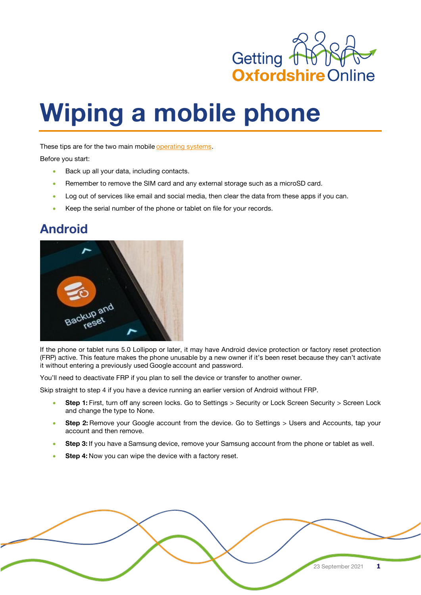

## **Wiping a mobile phone**

These tips are for the two main mobile [operating](https://www.cnet.com/topics/operating-systems/) systems.

Before you start:

- Back up all your data, including contacts.
- Remember to remove the SIM card and any external storage such as a microSD card.
- Log out of services like email and social media, then clear the data from these apps if you can.
- Keep the serial number of the phone or tablet on file for your records.

## **Android**



If the phone or tablet runs 5.0 Lollipop or later, it may have Android device protection or factory reset protection (FRP) active. This feature makes the phone unusable by a new owner if it's been reset because they can't activate it without entering a previously used Google account and password.

You'll need to deactivate FRP if you plan to sell the device or transfer to another owner.

Skip straight to step 4 if you have a device running an earlier version of Android without FRP.

- **Step 1:** First, turn off any screen locks. Go to Settings > Security or Lock Screen Security > Screen Lock and change the type to None.
- Step 2: Remove your Google account from the device. Go to Settings > Users and Accounts, tap your account and then remove.
- **Step 3:** If you have a Samsung device, remove your Samsung account from the phone or tablet as well.
- **Step 4:** Now you can wipe the device with a factory reset.